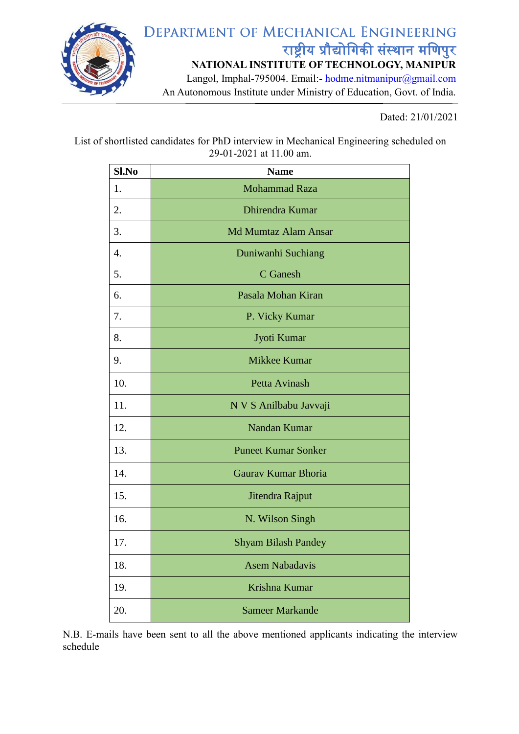

## Dated: 21/01/2021

List of shortlisted candidates for PhD interview in Mechanical Engineering scheduled on 29-01-2021 at 11.00 am.

| Sl.No            | <b>Name</b>                 |
|------------------|-----------------------------|
| 1.               | <b>Mohammad Raza</b>        |
| 2.               | Dhirendra Kumar             |
| 3.               | <b>Md Mumtaz Alam Ansar</b> |
| $\overline{4}$ . | Duniwanhi Suchiang          |
| 5.               | C Ganesh                    |
| 6.               | Pasala Mohan Kiran          |
| 7.               | P. Vicky Kumar              |
| 8.               | Jyoti Kumar                 |
| 9.               | Mikkee Kumar                |
| 10.              | Petta Avinash               |
| 11.              | N V S Anilbabu Javvaji      |
| 12.              | Nandan Kumar                |
| 13.              | <b>Puneet Kumar Sonker</b>  |
| 14.              | Gaurav Kumar Bhoria         |
| 15.              | Jitendra Rajput             |
| 16.              | N. Wilson Singh             |
| 17.              | <b>Shyam Bilash Pandey</b>  |
| 18.              | <b>Asem Nabadavis</b>       |
| 19.              | Krishna Kumar               |
| 20.              | <b>Sameer Markande</b>      |

N.B. E-mails have been sent to all the above mentioned applicants indicating the interview schedule